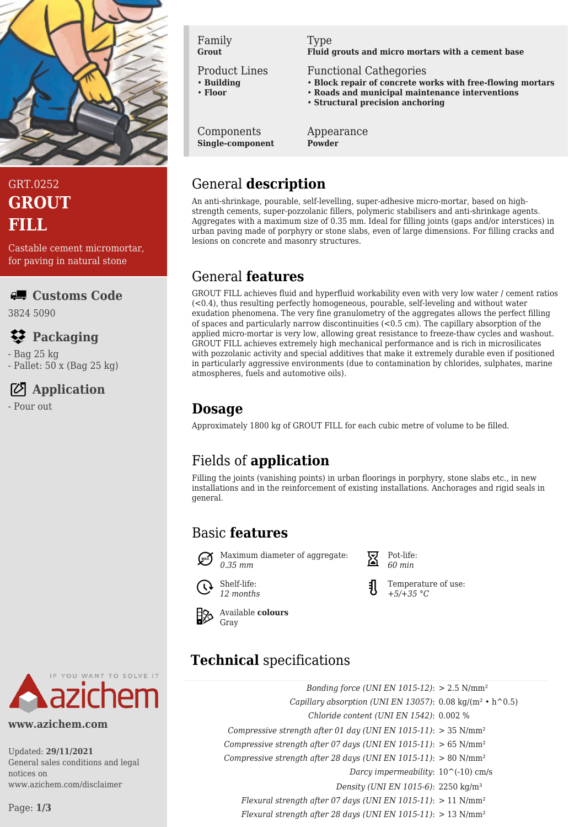

# GRT.0252 **GROUT FILL**

Castable cement micromortar, for paving in natural stone

#### **Customs Code**

3824 5090

# **Packaging**

- Bag 25 kg

- Pallet: 50 x (Bag 25 kg)

## **Application**

- Pour out



#### **www.azichem.com**

Updated: **29/11/2021** General sales conditions and legal notices on www.azichem.com/disclaimer

Page: **1/3**

Family **Grout**

Product Lines

- **Building** • **Floor**
- 

Components **Single-component**

# Type

**Fluid grouts and micro mortars with a cement base**

Functional Cathegories

- **Block repair of concrete works with free-flowing mortars**
- **Roads and municipal maintenance interventions**
- **Structural precision anchoring**

Appearance **Powder**

## General **description**

An anti-shrinkage, pourable, self-levelling, super-adhesive micro-mortar, based on highstrength cements, super-pozzolanic fillers, polymeric stabilisers and anti-shrinkage agents. Aggregates with a maximum size of 0.35 mm. Ideal for filling joints (gaps and/or interstices) in urban paving made of porphyry or stone slabs, even of large dimensions. For filling cracks and lesions on concrete and masonry structures.

## General **features**

GROUT FILL achieves fluid and hyperfluid workability even with very low water / cement ratios  $(-0.4)$ , thus resulting perfectly homogeneous, pourable, self-leveling and without water exudation phenomena. The very fine granulometry of the aggregates allows the perfect filling of spaces and particularly narrow discontinuities (<0.5 cm). The capillary absorption of the applied micro-mortar is very low, allowing great resistance to freeze-thaw cycles and washout. GROUT FILL achieves extremely high mechanical performance and is rich in microsilicates with pozzolanic activity and special additives that make it extremely durable even if positioned in particularly aggressive environments (due to contamination by chlorides, sulphates, marine atmospheres, fuels and automotive oils).

# **Dosage**

Approximately 1800 kg of GROUT FILL for each cubic metre of volume to be filled.

# Fields of **application**

Filling the joints (vanishing points) in urban floorings in porphyry, stone slabs etc., in new installations and in the reinforcement of existing installations. Anchorages and rigid seals in general.

# Basic **features**



Maximum diameter of aggregate: *0.35 mm*



Shelf-life: *12 months*

Available **colours** Gray

# **Technical** specifications

*Bonding force (UNI EN 1015-12)*: > 2.5 N/mm² *Capillary absorption (UNI EN 13057)*: 0.08 kg/(m² • h^0.5) *Chloride content (UNI EN 1542)*: 0.002 % *Compressive strength after 01 day (UNI EN 1015-11)*: > 35 N/mm² *Compressive strength after 07 days (UNI EN 1015-11)*: > 65 N/mm² *Compressive strength after 28 days (UNI EN 1015-11)*: > 80 N/mm² *Darcy impermeability*: 10^(-10) cm/s *Density (UNI EN 1015-6)*: 2250 kg/m³ *Flexural strength after 07 days (UNI EN 1015-11)*: > 11 N/mm² *Flexural strength after 28 days (UNI EN 1015-11)*: > 13 N/mm²

Pot-life: *60 min*

Temperature of use: *+5/+35 °C*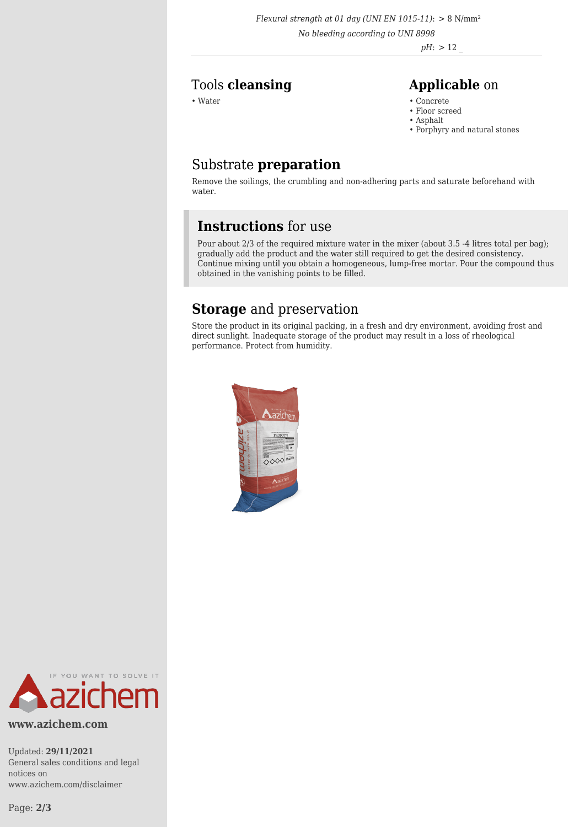*Flexural strength at 01 day (UNI EN 1015-11)*: > 8 N/mm²

*No bleeding according to UNI 8998*

*pH*: > 12 \_

### Tools **cleansing Applicable** on

- Water Concrete Concrete Concrete Concrete Concrete Concrete Concrete Concrete Concrete Concrete Concrete Concrete Concrete Concrete Concrete Concrete Concrete Concrete Concrete Con
	- Floor screed
	- Asphalt
	- Porphyry and natural stones

## Substrate **preparation**

Remove the soilings, the crumbling and non-adhering parts and saturate beforehand with water.

## **Instructions** for use

Pour about 2/3 of the required mixture water in the mixer (about 3.5 -4 litres total per bag); gradually add the product and the water still required to get the desired consistency. Continue mixing until you obtain a homogeneous, lump-free mortar. Pour the compound thus obtained in the vanishing points to be filled.

## **Storage** and preservation

Store the product in its original packing, in a fresh and dry environment, avoiding frost and direct sunlight. Inadequate storage of the product may result in a loss of rheological performance. Protect from humidity.





**www.azichem.com**

Updated: **29/11/2021** General sales conditions and legal notices on www.azichem.com/disclaimer